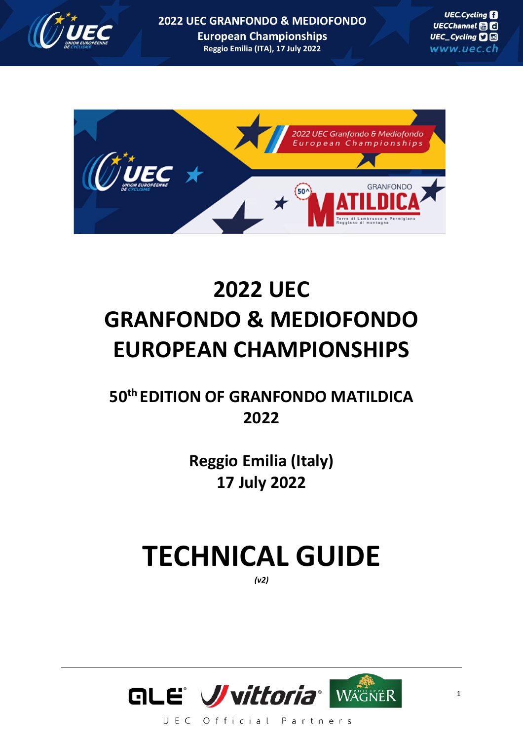

**2022 UEC GRANFONDO & MEDIOFONDO European Championships Reggio Emilia (ITA), 17 July 2022**



## **2022 UEC GRANFONDO & MEDIOFONDO EUROPEAN CHAMPIONSHIPS**

**50th EDITION OF GRANFONDO MATILDICA 2022** 

> **Reggio Emilia (Italy) 17 July 2022**

# **TECHNICAL GUIDE**

*(v2)*

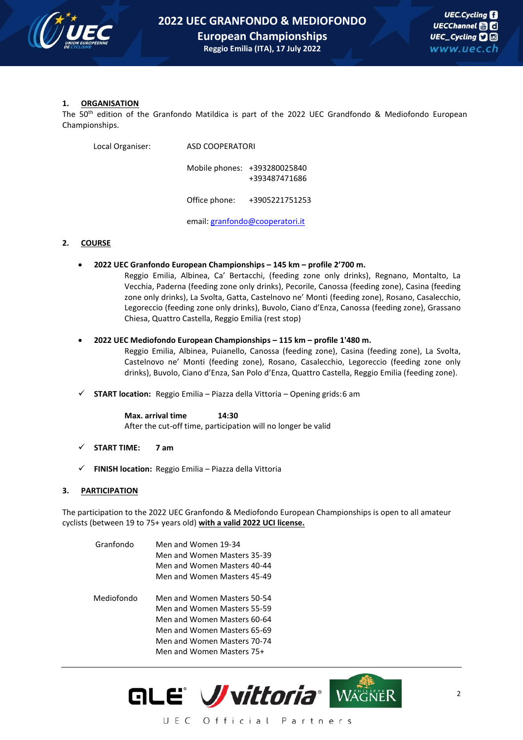

#### **1. ORGANISATION**

The 50th edition of the Granfondo Matildica is part of the 2022 UEC Grandfondo & Mediofondo European Championships.

Local Organiser: ASD COOPERATORI

Mobile phones: +393280025840 +393487471686

Office phone: +3905221751253

email: granfondo@cooperatori.it

#### **2. COURSE**

• **2022 UEC Granfondo European Championships – 145 km – profile 2'700 m.**

Reggio Emilia, Albinea, Ca' Bertacchi, (feeding zone only drinks), Regnano, Montalto, La Vecchia, Paderna (feeding zone only drinks), Pecorile, Canossa (feeding zone), Casina (feeding zone only drinks), La Svolta, Gatta, Castelnovo ne' Monti (feeding zone), Rosano, Casalecchio, Legoreccio (feeding zone only drinks), Buvolo, Ciano d'Enza, Canossa (feeding zone), Grassano Chiesa, Quattro Castella, Reggio Emilia (rest stop)

• **2022 UEC Mediofondo European Championships – 115 km – profile 1'480 m.**

Reggio Emilia, Albinea, Puianello, Canossa (feeding zone), Casina (feeding zone), La Svolta, Castelnovo ne' Monti (feeding zone), Rosano, Casalecchio, Legoreccio (feeding zone only drinks), Buvolo, Ciano d'Enza, San Polo d'Enza, Quattro Castella, Reggio Emilia (feeding zone).

✓ **START location:** Reggio Emilia – Piazza della Vittoria – Opening grids:6 am

**Max. arrival time 14:30** After the cut-off time, participation will no longer be valid

- ✓ **START TIME: 7 am**
- ✓ **FINISH location:** Reggio Emilia Piazza della Vittoria

#### **3. PARTICIPATION**

The participation to the 2022 UEC Granfondo & Mediofondo European Championships is open to all amateur cyclists (between 19 to 75+ years old) **with a valid 2022 UCI license.**

| Granfondo  | Men and Women 19-34<br>Men and Women Masters 35-39<br>Men and Women Masters 40-44<br>Men and Women Masters 45-49                                                                     |
|------------|--------------------------------------------------------------------------------------------------------------------------------------------------------------------------------------|
| Mediofondo | Men and Women Masters 50-54<br>Men and Women Masters 55-59<br>Men and Women Masters 60-64<br>Men and Women Masters 65-69<br>Men and Women Masters 70-74<br>Men and Women Masters 75+ |



UEC Official Partners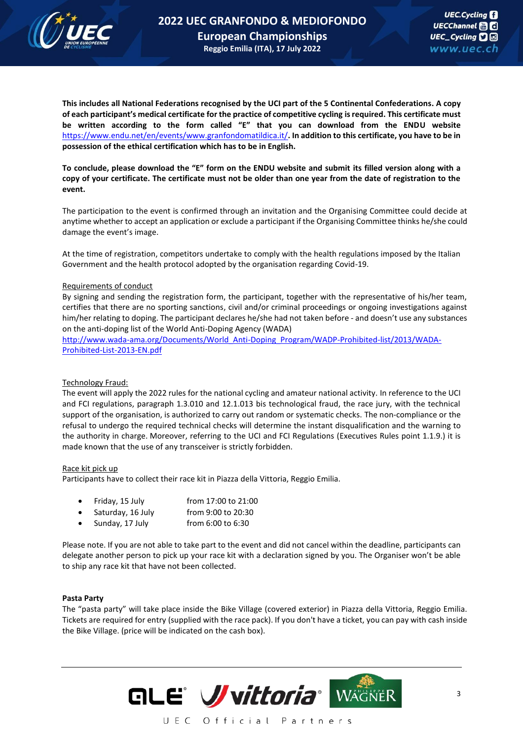

**This includes all National Federations recognised by the UCI part of the 5 Continental Confederations. A copy of each participant's medical certificate for the practice of competitive cycling is required. This certificate must be written according to the form called "E" that you can download from the ENDU website** <https://www.endu.net/en/events/www.granfondomatildica.it/>**. In addition to this certificate, you have to be in possession of the ethical certification which has to be in English.** 

#### **To conclude, please download the "E" form on the ENDU website and submit its filled version along with a copy of your certificate. The certificate must not be older than one year from the date of registration to the event.**

The participation to the event is confirmed through an invitation and the Organising Committee could decide at anytime whether to accept an application or exclude a participant if the Organising Committee thinks he/she could damage the event's image.

At the time of registration, competitors undertake to comply with the health regulations imposed by the Italian Government and the health protocol adopted by the organisation regarding Covid-19.

#### Requirements of conduct

By signing and sending the registration form, the participant, together with the representative of his/her team, certifies that there are no sporting sanctions, civil and/or criminal proceedings or ongoing investigations against him/her relating to doping. The participant declares he/she had not taken before - and doesn't use any substances on the anti-doping list of the World Anti-Doping Agency (WADA)

[http://www.wada-ama.org/Documents/World\\_Anti-Doping\\_Program/WADP-Prohibited-list/2013/WADA-](http://www.wada-ama.org/Documents/World_Anti-Doping_Program/WADP-Prohibited-list/2013/WADA-Prohibited-List-2013-EN.pdf)[Prohibited-List-2013-EN.pdf](http://www.wada-ama.org/Documents/World_Anti-Doping_Program/WADP-Prohibited-list/2013/WADA-Prohibited-List-2013-EN.pdf)

#### Technology Fraud:

The event will apply the 2022 rules for the national cycling and amateur national activity. In reference to the UCI and FCI regulations, paragraph 1.3.010 and 12.1.013 bis technological fraud, the race jury, with the technical support of the organisation, is authorized to carry out random or systematic checks. The non-compliance or the refusal to undergo the required technical checks will determine the instant disqualification and the warning to the authority in charge. Moreover, referring to the UCI and FCI Regulations (Executives Rules point 1.1.9.) it is made known that the use of any transceiver is strictly forbidden.

#### Race kit pick up

Participants have to collect their race kit in Piazza della Vittoria, Reggio Emilia.

| $\bullet$ | Friday, 15 July                     | from 17:00 to 21:00                                             |
|-----------|-------------------------------------|-----------------------------------------------------------------|
| $\bullet$ | Saturday, 16 July                   | from 9:00 to 20:30                                              |
| $\sim$    | Consideration of the first constant | $f_{11}$ , $f_{22}$ , $f_{33}$ , $f_{34}$ , $f_{35}$ , $f_{36}$ |

• Sunday, 17 July from 6:00 to 6:30

Please note. If you are not able to take part to the event and did not cancel within the deadline, participants can delegate another person to pick up your race kit with a declaration signed by you. The Organiser won't be able to ship any race kit that have not been collected.

#### **Pasta Party**

The "pasta party" will take place inside the Bike Village (covered exterior) in Piazza della Vittoria, Reggio Emilia. Tickets are required for entry (supplied with the race pack). If you don't have a ticket, you can pay with cash inside the Bike Village. (price will be indicated on the cash box).

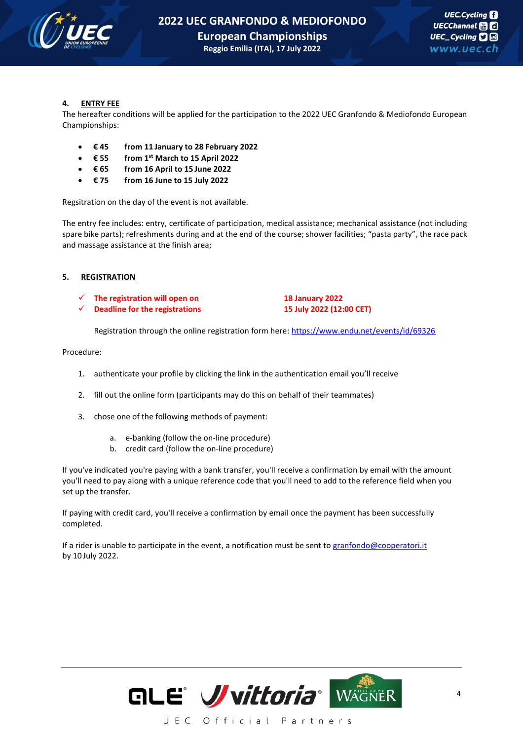

#### **4. ENTRY FEE**

The hereafter conditions will be applied for the participation to the 2022 UEC Granfondo & Mediofondo European Championships:

- **€ 45 from 11 January to 28 February 2022**
- **€ 55 from 1st March to 15 April 2022**
- **€ 65 from 16 April to 15 June 2022**
- **€ 75 from 16 June to 15 July 2022**

Regsitration on the day of the event is not available.

The entry fee includes: entry, certificate of participation, medical assistance; mechanical assistance (not including spare bike parts); refreshments during and at the end of the course; shower facilities; "pasta party", the race pack and massage assistance at the finish area;

#### **5. REGISTRATION**

- ✓ **The registration will open on 18 January 2022**
- ✓ **Deadline for the registrations 15 July 2022 (12:00 CET)**

Registration through the online registration form here[: https://www.endu.net/events/id/69326](https://www.endu.net/events/id/69326)

Procedure:

- 1. authenticate your profile by clicking the link in the authentication email you'll receive
- 2. fill out the online form (participants may do this on behalf of their teammates)
- 3. chose one of the following methods of payment:
	- a. e-banking (follow the on-line procedure)
	- b. credit card (follow the on-line procedure)

If you've indicated you're paying with a bank transfer, you'll receive a confirmation by email with the amount you'll need to pay along with a unique reference code that you'll need to add to the reference field when you set up the transfer.

If paying with credit card, you'll receive a confirmation by email once the payment has been successfully completed.

If a rider is unable to participate in the event, a notification must be sent to [granfondo@cooperatori.it](mailto:granfondo@cooperatori.it) by 10 July 2022.

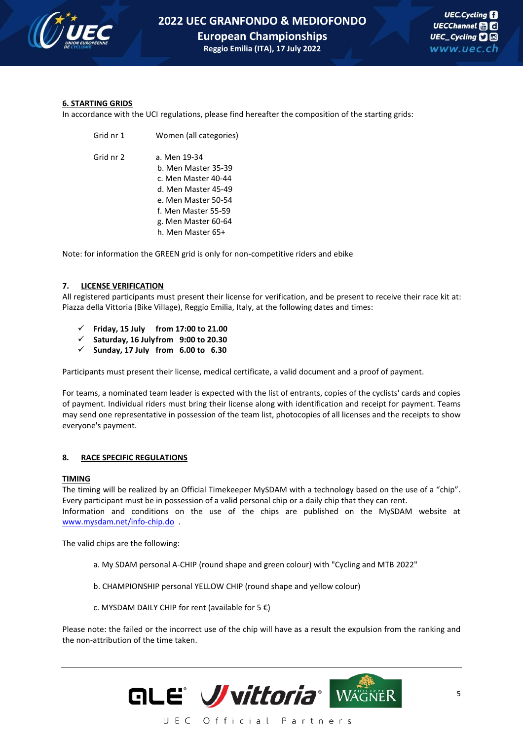

## **2022 UEC GRANFONDO & MEDIOFONDO**

**European Championships**

**Reggio Emilia (ITA), 17 July 2022**

#### **6. STARTING GRIDS**

In accordance with the UCI regulations, please find hereafter the composition of the starting grids:

Grid nr 1 Women (all categories)

Grid nr 2 a. Men 19-34 b. Men Master 35-39 c. Men Master 40-44 d. Men Master 45-49 e. Men Master 50-54 f. Men Master 55-59 g. Men Master 60-64 h. Men Master 65+

Note: for information the GREEN grid is only for non-competitive riders and ebike

#### **7. LICENSE VERIFICATION**

All registered participants must present their license for verification, and be present to receive their race kit at: Piazza della Vittoria (Bike Village), Reggio Emilia, Italy, at the following dates and times:

- ✓ **Friday, 15 July from 17:00 to 21.00**
- ✓ **Saturday, 16 Julyfrom 9:00 to 20.30**
- ✓ **Sunday, 17 July from 6.00 to 6.30**

Participants must present their license, medical certificate, a valid document and a proof of payment.

For teams, a nominated team leader is expected with the list of entrants, copies of the cyclists' cards and copies of payment. Individual riders must bring their license along with identification and receipt for payment. Teams may send one representative in possession of the team list, photocopies of all licenses and the receipts to show everyone's payment.

#### **8. RACE SPECIFIC REGULATIONS**

#### **TIMING**

The timing will be realized by an Official Timekeeper MySDAM with a technology based on the use of a "chip". Every participant must be in possession of a valid personal chip or a daily chip that they can rent. Information and conditions on the use of the chips are published on the MySDAM website at [www.mysdam.net/info-chip.do](http://www.mysdam.net/info-chip.do) .

The valid chips are the following:

- a. My SDAM personal A-CHIP (round shape and green colour) with "Cycling and MTB 2022"
- b. CHAMPIONSHIP personal YELLOW CHIP (round shape and yellow colour)
- c. MYSDAM DAILY CHIP for rent (available for 5  $\epsilon$ )

Please note: the failed or the incorrect use of the chip will have as a result the expulsion from the ranking and the non-attribution of the time taken.

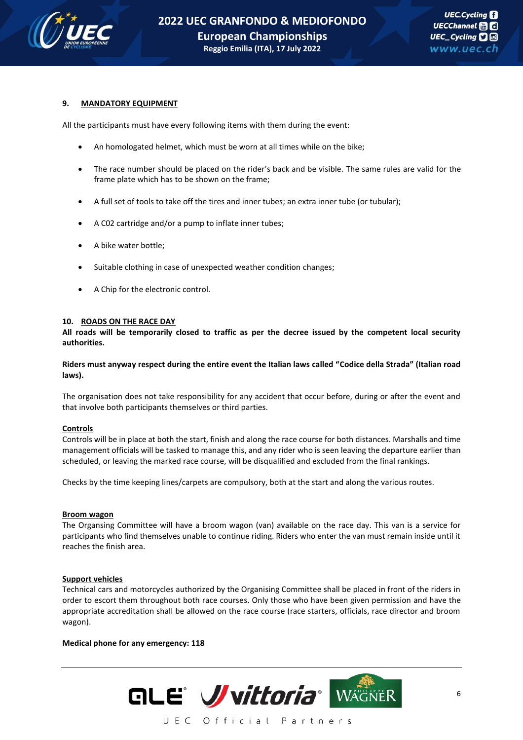

#### **9. MANDATORY EQUIPMENT**

All the participants must have every following items with them during the event:

- An homologated helmet, which must be worn at all times while on the bike;
- The race number should be placed on the rider's back and be visible. The same rules are valid for the frame plate which has to be shown on the frame;
- A full set of tools to take off the tires and inner tubes; an extra inner tube (or tubular);
- A C02 cartridge and/or a pump to inflate inner tubes;
- A bike water bottle;
- Suitable clothing in case of unexpected weather condition changes;
- A Chip for the electronic control.

#### **10. ROADS ON THE RACE DAY**

**All roads will be temporarily closed to traffic as per the decree issued by the competent local security authorities.**

**Riders must anyway respect during the entire event the Italian laws called "Codice della Strada" (Italian road laws).** 

The organisation does not take responsibility for any accident that occur before, during or after the event and that involve both participants themselves or third parties.

#### **Controls**

Controls will be in place at both the start, finish and along the race course for both distances. Marshalls and time management officials will be tasked to manage this, and any rider who is seen leaving the departure earlier than scheduled, or leaving the marked race course, will be disqualified and excluded from the final rankings.

Checks by the time keeping lines/carpets are compulsory, both at the start and along the various routes.

#### **Broom wagon**

The Organsing Committee will have a broom wagon (van) available on the race day. This van is a service for participants who find themselves unable to continue riding. Riders who enter the van must remain inside until it reaches the finish area.

#### **Support vehicles**

Technical cars and motorcycles authorized by the Organising Committee shall be placed in front of the riders in order to escort them throughout both race courses. Only those who have been given permission and have the appropriate accreditation shall be allowed on the race course (race starters, officials, race director and broom wagon).

#### **Medical phone for any emergency: 118**